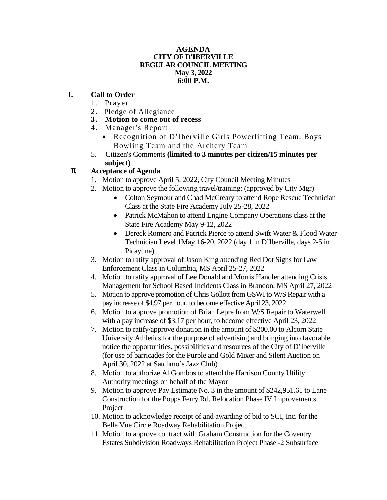#### **AGENDA CITY OF D'IBERVILLE REGULAR COUNCIL MEETING May 3, 2022 6:00 P.M.**

### **I. Call to Order**

- 1. Prayer
- 2. Pledge of Allegiance
- **3. Motion to come out of recess**
- 4. Manager's Report
	- Recognition of D'Iberville Girls Powerlifting Team, Boys Bowling Team and the Archery Team
- 5. Citizen's Comments **(limited to 3 minutes per citizen/15 minutes per subject)**

# **II. Acceptance of Agenda**

- 1. Motion to approve April 5, 2022, City Council Meeting Minutes
- 2. Motion to approve the following travel/training: (approved by City Mgr)
	- Colton Seymour and Chad McCreary to attend Rope Rescue Technician Class at the State Fire Academy July 25-28, 2022
	- Patrick McMahon to attend Engine Company Operations class at the State Fire Academy May 9-12, 2022
	- Dereck Romero and Patrick Pierce to attend Swift Water & Flood Water Technician Level 1May 16-20, 2022 (day 1 in D'Iberville, days 2-5 in Picayune)
- 3. Motion to ratify approval of Jason King attending Red Dot Signs for Law Enforcement Class in Columbia, MS April 25-27, 2022
- 4. Motion to ratify approval of Lee Donald and Morris Handler attending Crisis Management for School Based Incidents Class in Brandon, MS April 27, 2022
- 5. Motion to approve promotion of Chris Gollott from GSWI to W/S Repair with a pay increase of \$4.97 per hour, to become effective April 23, 2022
- 6. Motion to approve promotion of Brian Lepre from W/S Repair to Waterwell with a pay increase of \$3.17 per hour, to become effective April 23, 2022
- 7. Motion to ratify/approve donation in the amount of \$200.00 to Alcorn State University Athletics for the purpose of advertising and bringing into favorable notice the opportunities, possibilities and resources of the City of D'Iberville (for use of barricades for the Purple and Gold Mixer and Silent Auction on April 30, 2022 at Satchmo's Jazz Club)
- 8. Motion to authorize Al Gombos to attend the Harrison County Utility Authority meetings on behalf of the Mayor
- 9. Motion to approve Pay Estimate No. 3 in the amount of \$242,951.61 to Lane Construction for the Popps Ferry Rd. Relocation Phase IV Improvements Project
- 10. Motion to acknowledge receipt of and awarding of bid to SCI, Inc. for the Belle Vue Circle Roadway Rehabilitation Project
- 11. Motion to approve contract with Graham Construction for the Coventry Estates Subdivision Roadways Rehabilitation Project Phase -2 Subsurface